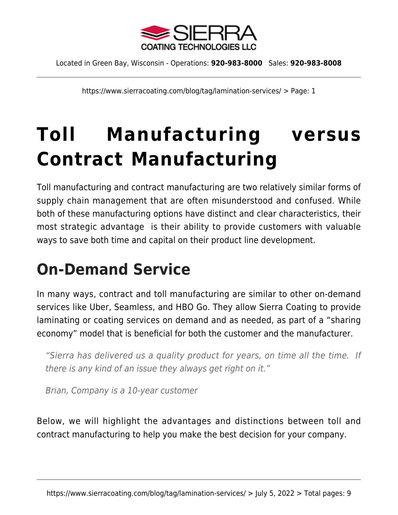

https://www.sierracoating.com/blog/tag/lamination-services/ > Page: 1

# **[Toll Manufacturing versus](https://www.sierracoating.com/blog/toll-manufacturing-versus-contract-manufacturing/) [Contract Manufacturing](https://www.sierracoating.com/blog/toll-manufacturing-versus-contract-manufacturing/)**

Toll manufacturing and contract manufacturing are two relatively similar forms of supply chain management that are often misunderstood and confused. While both of these manufacturing options have distinct and clear characteristics, their most strategic advantage is their ability to provide customers with valuable ways to save both time and capital on their product line development.

### **On-Demand Service**

In many ways, contract and toll manufacturing are [similar to other on-demand](https://www.linkedin.com/pulse/contract-toll-manufacturing-like-your-uber-driver-robert-shade) [services like Uber, Seamless, and HBO Go](https://www.linkedin.com/pulse/contract-toll-manufacturing-like-your-uber-driver-robert-shade). They allow Sierra Coating to provide laminating or coating services on demand and as needed, as part of a "sharing economy" model that is beneficial for both the customer and the manufacturer.

"Sierra has delivered us a quality product for years, on time all the time. If there is any kind of an issue they always get right on it."

Brian, Company is a 10-year customer

Below, we will highlight the advantages and distinctions between toll and contract manufacturing to help you make the best decision for your company.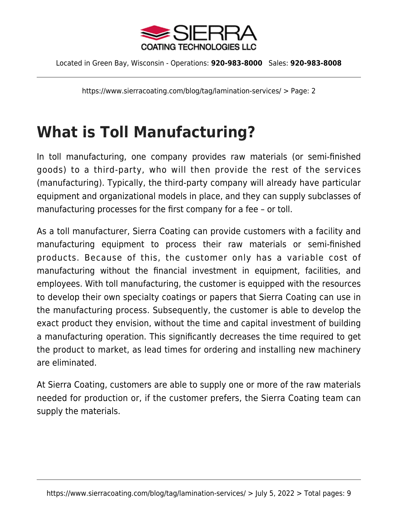

https://www.sierracoating.com/blog/tag/lamination-services/ > Page: 2

### **What is Toll Manufacturing?**

In toll manufacturing, one company provides raw materials (or semi-finished goods) to a third-party, who will then provide the rest of the services (manufacturing). Typically, the third-party company will already have particular equipment and organizational models in place, and they can supply subclasses of manufacturing processes for the first company for a fee – or toll.

As a toll manufacturer, Sierra Coating can provide customers with a facility and manufacturing equipment to process their raw materials or semi-finished products. Because of this, the customer only has a variable cost of manufacturing without the financial investment in equipment, facilities, and employees. With toll manufacturing, the customer is equipped with the resources to develop their own specialty coatings or papers that Sierra Coating can use in the manufacturing process. Subsequently, the customer is able to develop the exact product they envision, without the time and capital investment of building a manufacturing operation. This significantly decreases the time required to get the product to market, as lead times for ordering and installing new machinery are eliminated.

At Sierra Coating, customers are able to supply one or more of the raw materials needed for production or, if the customer prefers, the Sierra Coating team can supply the materials.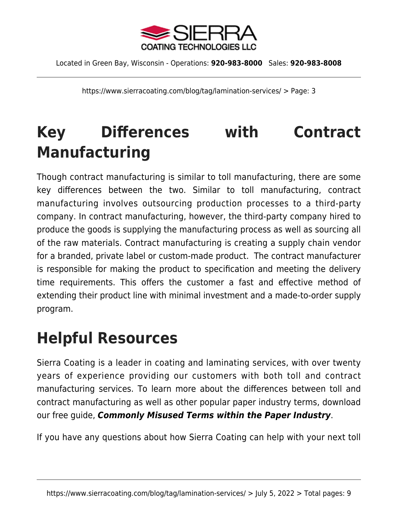

https://www.sierracoating.com/blog/tag/lamination-services/ > Page: 3

## **Key Differences with Contract Manufacturing**

Though contract manufacturing is similar to toll manufacturing, there are some key differences between the two. Similar to toll manufacturing, contract manufacturing involves [outsourcing production processes to a third-party](https://www.sierracoating.com/financial-case-contract-manufacturing-ebook) [company](https://www.sierracoating.com/financial-case-contract-manufacturing-ebook). In contract manufacturing, however, the third-party company hired to produce the goods is supplying the manufacturing process as well as sourcing all of the raw materials. Contract manufacturing is creating a supply chain vendor for a branded, private label or custom-made product. The contract manufacturer is responsible for making the product to specification and meeting the delivery time requirements. This offers the customer a fast and effective method of extending their product line with minimal investment and a made-to-order supply program.

### **Helpful Resources**

Sierra Coating is a leader in coating and laminating services, with over twenty years of experience providing our customers with both toll and contract manufacturing services. To learn more about the differences between toll and contract manufacturing as well as other popular paper industry terms, download our free guide, *[Commonly Misused Terms within the Paper Industry](https://www.sierracoating.com/misunderstood-terms-in-paper-industry)*.

If you have any questions about how Sierra Coating can help with your next toll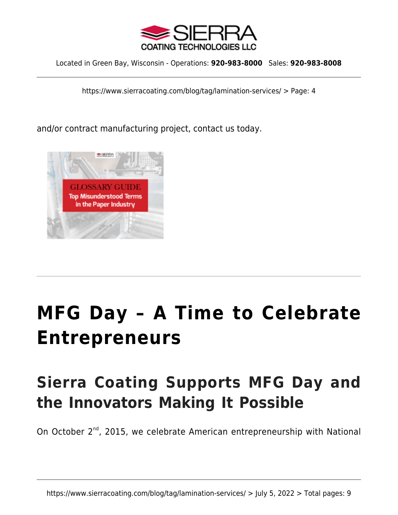

https://www.sierracoating.com/blog/tag/lamination-services/ > Page: 4

and/or contract manufacturing project, [contact us today](https://www.sierracoating.com/contact).



# **[MFG Day – A Time to Celebrate](https://www.sierracoating.com/blog/mfg-day-a-time-to-celebrate-entrepreneurs/) [Entrepreneurs](https://www.sierracoating.com/blog/mfg-day-a-time-to-celebrate-entrepreneurs/)**

## **Sierra Coating Supports MFG Day and the Innovators Making It Possible**

On October 2<sup>nd</sup>, 2015, we celebrate American entrepreneurship with [National](http://mfgday.com/)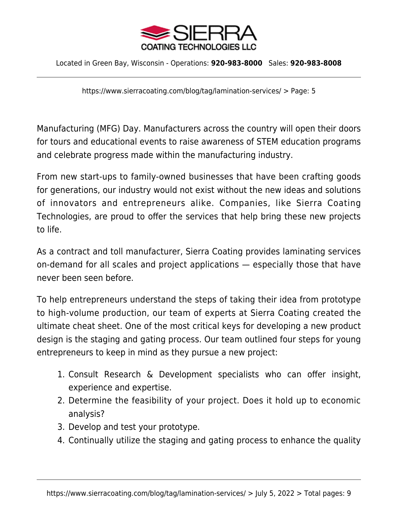

https://www.sierracoating.com/blog/tag/lamination-services/ > Page: 5

[Manufacturing \(MFG\) Day](http://mfgday.com/). Manufacturers across the country will open their doors for tours and educational events to raise awareness of [STEM education programs](http://www.ed.gov/stem) and celebrate progress made within the manufacturing industry.

From new start-ups to family-owned businesses that have been crafting goods for generations, our industry would not exist without the new ideas and solutions of innovators and entrepreneurs alike. Companies, like Sierra Coating Technologies, are proud to offer the services that help bring these new projects to life.

As a contract and toll manufacturer, Sierra Coating provides [laminating services](https://www.linkedin.com/pulse/contract-toll-manufacturing-like-your-uber-driver-robert-shade) [on-demand](https://www.linkedin.com/pulse/contract-toll-manufacturing-like-your-uber-driver-robert-shade) for all scales and project applications — especially those that have never been seen before.

To help entrepreneurs understand the steps of taking their idea from prototype to high-volume production, our team of experts at Sierra Coating created [the](https://www.sierracoating.com/prototype-to-high-volume-production) [ultimate cheat sheet.](https://www.sierracoating.com/prototype-to-high-volume-production) One of the most critical keys for developing a new product design is the staging and gating process. Our team outlined four steps for young entrepreneurs to keep in mind as they pursue a new project:

- 1. Consult Research & Development specialists who can offer insight, experience and expertise.
- 2. Determine the feasibility of your project. Does it hold up to economic analysis?
- 3. Develop and test your prototype.
- 4. Continually utilize the staging and gating process to enhance the quality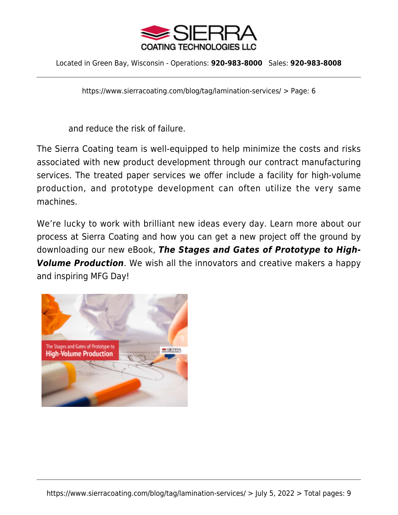

https://www.sierracoating.com/blog/tag/lamination-services/ > Page: 6

and reduce the risk of failure.

The Sierra Coating team is well-equipped to help minimize the costs and risks associated with new product development through our contract manufacturing services. The treated paper services we offer include a facility for high-volume production, and prototype development can often utilize the very same machines.

We're lucky to work with brilliant new ideas every day. Learn more about our process at Sierra Coating and how you can get a new project off the ground by downloading our new eBook, *[The Stages and Gates of Prototype to High-](https://www.sierracoating.com/prototype-to-high-volume-production)[Volume Production](https://www.sierracoating.com/prototype-to-high-volume-production)*. We wish all the innovators and creative makers a happy and inspiring MFG Day!

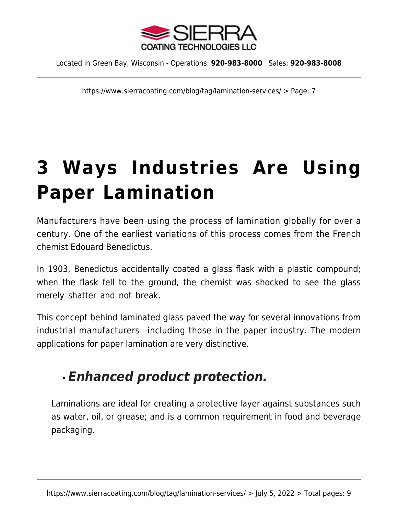

https://www.sierracoating.com/blog/tag/lamination-services/ > Page: 7

# **[3 Ways Industries Are Using](https://www.sierracoating.com/blog/3-ways-industries-using-paper-lamination/) [Paper Lamination](https://www.sierracoating.com/blog/3-ways-industries-using-paper-lamination/)**

Manufacturers have been using the process of lamination globally for over a century. One of the earliest variations of this process comes from the French chemist Edouard Benedictus.

In 1903, Benedictus accidentally coated a glass flask with a plastic compound; when the flask fell to the ground, the chemist was shocked to see the glass merely shatter and not break.

This concept behind laminated glass paved the way for several innovations from industrial manufacturers—including those in the paper industry. The modern applications for [paper lamination](https://www.sierracoating.com/paper-and-paperboard-lamination.html) are very distinctive.

#### *Enhanced product protection.*

Laminations are ideal for creating a protective layer against substances such as water, oil, or grease; and is a common requirement in [food and beverage](https://www.sierracoating.com/specialty-products/food-grade-products/food-grade-packaging-labels/) [packaging.](https://www.sierracoating.com/specialty-products/food-grade-products/food-grade-packaging-labels/)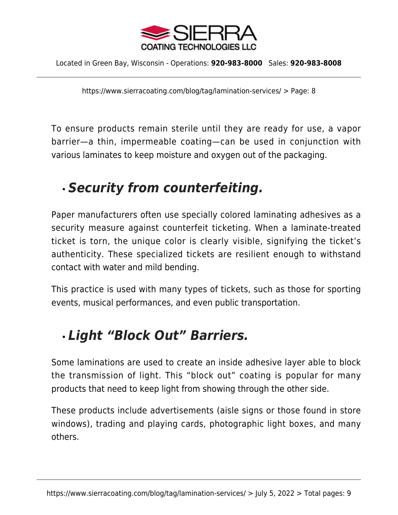

https://www.sierracoating.com/blog/tag/lamination-services/ > Page: 8

To ensure products remain sterile until they are ready for use, a vapor barrier—a thin, impermeable coating—can be used in conjunction with various laminates to keep moisture and oxygen out of the packaging.

#### *Security from counterfeiting.*

Paper manufacturers often use specially colored laminating adhesives as a security measure against counterfeit ticketing. When a laminate-treated ticket is torn, the unique color is clearly visible, signifying the ticket's authenticity. These specialized tickets are resilient enough to withstand contact with water and mild bending.

This practice is used with many types of tickets, such as those for sporting events, musical performances, and even public transportation.

#### *Light "Block Out" Barriers.*

Some laminations are used to create an inside adhesive layer able to block the transmission of light. This "block out" coating is popular for many products that need to keep light from showing through the other side.

These products include advertisements (aisle signs or those found in store windows), trading and playing cards, photographic light boxes, and many others.